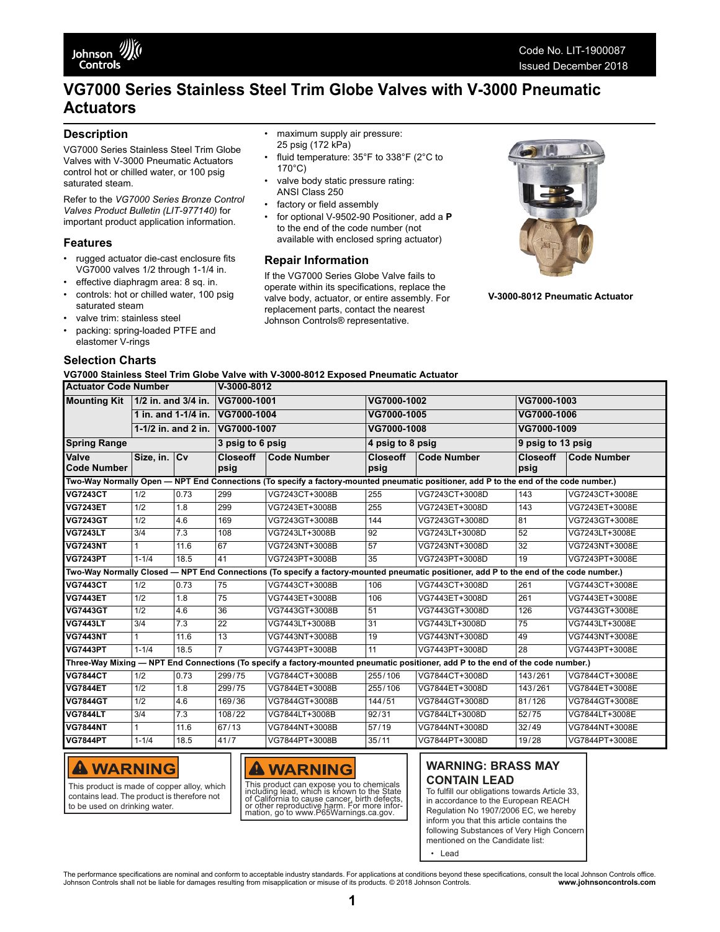## **VG7000 Series Stainless Steel Trim Globe Valves with V-3000 Pneumatic Actuators**

maximum supply air pressure:

• fluid temperature: 35°F to 338°F (2°C to

• for optional V-9502-90 Positioner, add a **P** to the end of the code number (not available with enclosed spring actuator)

valve body static pressure rating:

If the VG7000 Series Globe Valve fails to operate within its specifications, replace the valve body, actuator, or entire assembly. For replacement parts, contact the nearest Johnson Controls® representative.

25 psig (172 kPa)

ANSI Class 250 factory or field assembly

**Repair Information**

170°C)

### **Description**

VG7000 Series Stainless Steel Trim Globe Valves with V-3000 Pneumatic Actuators control hot or chilled water, or 100 psig saturated steam.

Refer to the *VG7000 Series Bronze Control Valves Product Bulletin (LIT-977140)* for important product application information.

#### **Features**

- rugged actuator die-cast enclosure fits VG7000 valves 1/2 through 1-1/4 in.
- effective diaphragm area: 8 sq. in.
- controls: hot or chilled water, 100 psig saturated steam
- valve trim: stainless steel
- packing: spring-loaded PTFE and elastomer V-rings

#### **Selection Charts**

**VG7000 Stainless Steel Trim Globe Valve with V-3000-8012 Exposed Pneumatic Actuator**

| <b>Actuator Code Number</b>                                                                                                             |                     |             | V-3000-8012             |                    |                         |                    |                         |                    |
|-----------------------------------------------------------------------------------------------------------------------------------------|---------------------|-------------|-------------------------|--------------------|-------------------------|--------------------|-------------------------|--------------------|
| <b>Mounting Kit</b>                                                                                                                     | 1/2 in. and 3/4 in. |             | VG7000-1001             |                    | VG7000-1002             |                    | VG7000-1003             |                    |
| 1 in. and 1-1/4 in.                                                                                                                     |                     | VG7000-1004 |                         | VG7000-1005        |                         | VG7000-1006        |                         |                    |
| $1-1/2$ in. and 2 in.                                                                                                                   |                     | VG7000-1007 |                         | VG7000-1008        |                         | VG7000-1009        |                         |                    |
| <b>Spring Range</b>                                                                                                                     |                     |             | 3 psig to 6 psig        |                    | 4 psig to 8 psig        |                    | 9 psig to 13 psig       |                    |
| Valve<br><b>Code Number</b>                                                                                                             | Size, in. Cv        |             | <b>Closeoff</b><br>psig | <b>Code Number</b> | <b>Closeoff</b><br>psig | <b>Code Number</b> | <b>Closeoff</b><br>psig | <b>Code Number</b> |
| Two-Way Normally Open — NPT End Connections (To specify a factory-mounted pneumatic positioner, add P to the end of the code number.)   |                     |             |                         |                    |                         |                    |                         |                    |
| <b>VG7243CT</b>                                                                                                                         | 1/2                 | 0.73        | 299                     | VG7243CT+3008B     | 255                     | VG7243CT+3008D     | 143                     | VG7243CT+3008E     |
| <b>VG7243ET</b>                                                                                                                         | 1/2                 | 1.8         | 299                     | VG7243ET+3008B     | 255                     | VG7243ET+3008D     | 143                     | VG7243ET+3008E     |
| <b>VG7243GT</b>                                                                                                                         | 1/2                 | 4.6         | 169                     | VG7243GT+3008B     | 144                     | VG7243GT+3008D     | 81                      | VG7243GT+3008E     |
| <b>VG7243LT</b>                                                                                                                         | 3/4                 | 7.3         | 108                     | VG7243LT+3008B     | 92                      | VG7243LT+3008D     | 52                      | VG7243LT+3008E     |
| <b>VG7243NT</b>                                                                                                                         | 1                   | 11.6        | 67                      | VG7243NT+3008B     | 57                      | VG7243NT+3008D     | 32                      | VG7243NT+3008E     |
| <b>VG7243PT</b>                                                                                                                         | $1 - 1/4$           | 18.5        | 41                      | VG7243PT+3008B     | $\overline{35}$         | VG7243PT+3008D     | 19                      | VG7243PT+3008E     |
| Two-Way Normally Closed — NPT End Connections (To specify a factory-mounted pneumatic positioner, add P to the end of the code number.) |                     |             |                         |                    |                         |                    |                         |                    |
| <b>VG7443CT</b>                                                                                                                         | 1/2                 | 0.73        | 75                      | VG7443CT+3008B     | 106                     | VG7443CT+3008D     | 261                     | VG7443CT+3008E     |
| <b>VG7443ET</b>                                                                                                                         | 1/2                 | 1.8         | 75                      | VG7443ET+3008B     | 106                     | VG7443ET+3008D     | 261                     | VG7443ET+3008E     |
| <b>VG7443GT</b>                                                                                                                         | 1/2                 | 4.6         | 36                      | VG7443GT+3008B     | 51                      | VG7443GT+3008D     | 126                     | VG7443GT+3008E     |
| <b>VG7443LT</b>                                                                                                                         | 3/4                 | 7.3         | $\overline{22}$         | VG7443LT+3008B     | 31                      | VG7443LT+3008D     | $\overline{75}$         | VG7443LT+3008E     |
| <b>VG7443NT</b>                                                                                                                         | $\mathbf{1}$        | 11.6        | 13                      | VG7443NT+3008B     | 19                      | VG7443NT+3008D     | 49                      | VG7443NT+3008E     |
| <b>VG7443PT</b>                                                                                                                         | $1 - 1/4$           | 18.5        | $\overline{7}$          | VG7443PT+3008B     | 11                      | VG7443PT+3008D     | $\overline{28}$         | VG7443PT+3008E     |
| Three-Way Mixing — NPT End Connections (To specify a factory-mounted pneumatic positioner, add P to the end of the code number.)        |                     |             |                         |                    |                         |                    |                         |                    |
| <b>VG7844CT</b>                                                                                                                         | 1/2                 | 0.73        | 299/75                  | VG7844CT+3008B     | 255/106                 | VG7844CT+3008D     | 143/261                 | VG7844CT+3008E     |
| <b>VG7844ET</b>                                                                                                                         | 1/2                 | 1.8         | 299/75                  | VG7844ET+3008B     | 255/106                 | VG7844ET+3008D     | 143/261                 | VG7844ET+3008E     |
| <b>VG7844GT</b>                                                                                                                         | 1/2                 | 4.6         | 169/36                  | VG7844GT+3008B     | 144/51                  | VG7844GT+3008D     | 81/126                  | VG7844GT+3008E     |
| <b>VG7844LT</b>                                                                                                                         | 3/4                 | 7.3         | 108/22                  | VG7844LT+3008B     | 92/31                   | VG7844LT+3008D     | 52/75                   | VG7844LT+3008E     |
| <b>VG7844NT</b>                                                                                                                         | 1                   | 11.6        | 67/13                   | VG7844NT+3008B     | 57/19                   | VG7844NT+3008D     | 32/49                   | VG7844NT+3008E     |
| <b>VG7844PT</b>                                                                                                                         | $1 - 1/4$           | 18.5        | 41/7                    | VG7844PT+3008B     | 35/11                   | VG7844PT+3008D     | 19/28                   | VG7844PT+3008E     |

## **A WARNING**

This product is made of copper alloy, which contains lead. The product is therefore not to be used on drinking water.

# **A WARNING**

This product can expose you to chemicals including lead, which is known to the State of California to cause cancer, birth defects, or other reproductive harm. For more infor-mation, go to www.P65Warnings.ca.gov.

## **WARNING: BRASS MAY CONTAIN LEAD**

To fulfill our obligations towards Article 33, in accordance to the European REACH Regulation No 1907/2006 EC, we hereby inform you that this article contains the following Substances of Very High Concern mentioned on the Candidate list: • Lead

The performance specifications are nominal and conform to acceptable industry standards. For applications at conditions beyond these specifications, consult the local Johnson Controls office.<br>Johnson Controls shall not be



**V-3000-8012 Pneumatic Actuator**